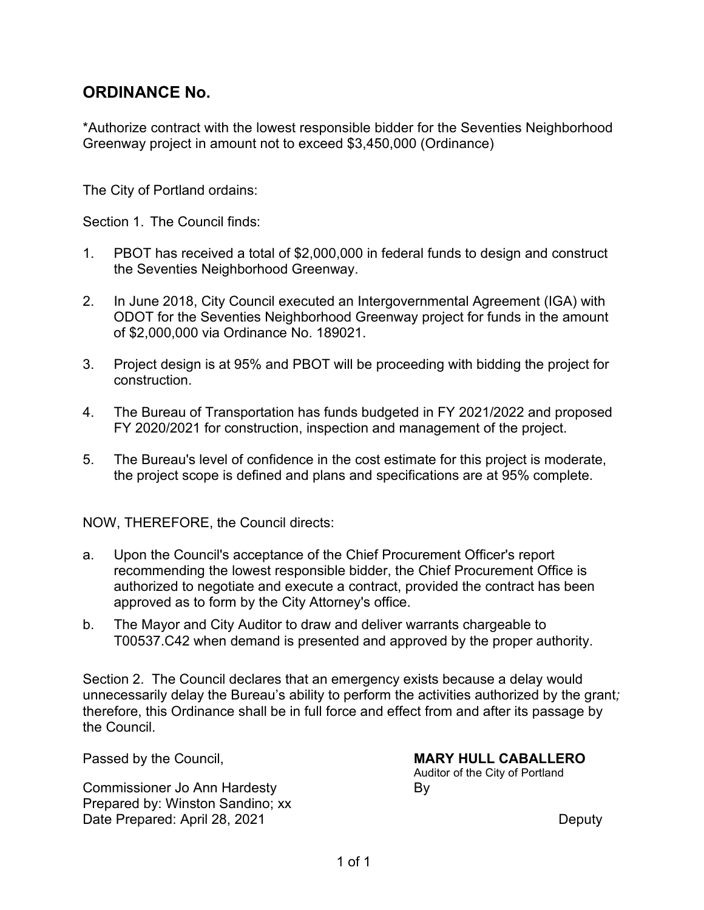# **ORDINANCE No.**

\*Authorize contract with the lowest responsible bidder for the Seventies Neighborhood Greenway project in amount not to exceed \$3,450,000 (Ordinance)

The City of Portland ordains:

Section 1. The Council finds:

- 1. PBOT has received a total of \$2,000,000 in federal funds to design and construct the Seventies Neighborhood Greenway.
- 2. In June 2018, City Council executed an Intergovernmental Agreement (IGA) with ODOT for the Seventies Neighborhood Greenway project for funds in the amount of \$2,000,000 via Ordinance No. 189021.
- 3. Project design is at 95% and PBOT will be proceeding with bidding the project for construction.
- 4. The Bureau of Transportation has funds budgeted in FY 2021/2022 and proposed FY 2020/2021 for construction, inspection and management of the project.
- 5. The Bureau's level of confidence in the cost estimate for this project is moderate, the project scope is defined and plans and specifications are at 95% complete.

NOW, THEREFORE, the Council directs:

- a. Upon the Council's acceptance of the Chief Procurement Officer's report recommending the lowest responsible bidder, the Chief Procurement Office is authorized to negotiate and execute a contract, provided the contract has been approved as to form by the City Attorney's office.
- b. The Mayor and City Auditor to draw and deliver warrants chargeable to T00537.C42 when demand is presented and approved by the proper authority.

Section 2. The Council declares that an emergency exists because a delay would unnecessarily delay the Bureau's ability to perform the activities authorized by the grant*;* therefore, this Ordinance shall be in full force and effect from and after its passage by the Council.

Commissioner Jo Ann Hardesty **By** Prepared by: Winston Sandino; xx Date Prepared: April 28, 2021 Deputy

#### Passed by the Council, **MARY HULL CABALLERO**

Auditor of the City of Portland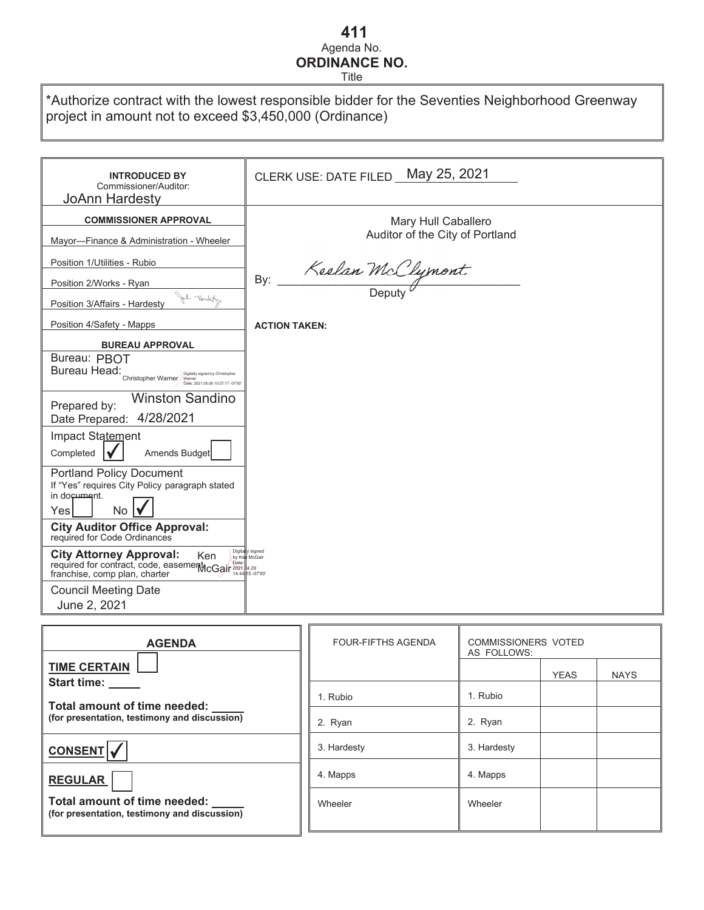## Agenda No. **ORDINANCE NO. 411**

Title

\*Authorize contract with the lowest responsible bidder for the Seventies Neighborhood Greenway project in amount not to exceed \$3,450,000 (Ordinance)

| <b>INTRODUCED BY</b><br>Commissioner/Auditor:<br>JoAnn Hardesty                                                                                                                                                                                                                                                                                                                     | CLERK USE: DATE FILED May 25, 2021                     |
|-------------------------------------------------------------------------------------------------------------------------------------------------------------------------------------------------------------------------------------------------------------------------------------------------------------------------------------------------------------------------------------|--------------------------------------------------------|
| <b>COMMISSIONER APPROVAL</b>                                                                                                                                                                                                                                                                                                                                                        | Mary Hull Caballero<br>Auditor of the City of Portland |
| Mayor-Finance & Administration - Wheeler<br>Position 1/Utilities - Rubio<br>Position 2/Works - Ryan<br>Abrah - Ho<br>Position 3/Affairs - Hardesty                                                                                                                                                                                                                                  | Keelan McClymont<br>By:                                |
| Position 4/Safety - Mapps                                                                                                                                                                                                                                                                                                                                                           | <b>ACTION TAKEN:</b>                                   |
| <b>BUREAU APPROVAL</b><br>Bureau: PBOT<br>Bureau Head:<br>Digitally signed by Christopher<br>Christopher Warner<br>Date: 2021.05.06 10:27:17 -07'00<br><b>Winston Sandino</b><br>Prepared by:<br>4/28/2021<br>Date Prepared:<br>Impact Statement<br>Amends Budget<br>Completed<br><b>Portland Policy Document</b><br>If "Yes" requires City Policy paragraph stated<br>in document. |                                                        |
| No<br>Yesl<br><b>City Auditor Office Approval:</b><br>required for Code Ordinances<br>Digita<br><b>City Attorney Approval:</b><br><b>Ken</b><br>City Allowing App. -<br>required for contract, code, easement CGair 2021-4429<br>franchise, comp plan, charter                                                                                                                      | signed                                                 |
| <b>Council Meeting Date</b><br>June 2, 2021                                                                                                                                                                                                                                                                                                                                         |                                                        |

| <b>AGENDA</b>                                                                |  | <b>FOUR-FIFTHS AGENDA</b> | <b>COMMISSIONERS VOTED</b><br>AS FOLLOWS: |             |             |
|------------------------------------------------------------------------------|--|---------------------------|-------------------------------------------|-------------|-------------|
| <b>TIME CERTAIN</b><br><b>Start time:</b>                                    |  |                           |                                           | <b>YEAS</b> | <b>NAYS</b> |
| Total amount of time needed:<br>(for presentation, testimony and discussion) |  | 1. Rubio                  | 1. Rubio                                  |             |             |
|                                                                              |  | 2. Ryan                   | 2. Ryan                                   |             |             |
| <b>CONSENT</b>                                                               |  | 3. Hardesty               | 3. Hardesty                               |             |             |
| <b>REGULAR</b>                                                               |  | 4. Mapps                  | 4. Mapps                                  |             |             |
| Total amount of time needed:<br>(for presentation, testimony and discussion) |  | Wheeler                   | Wheeler                                   |             |             |
|                                                                              |  |                           |                                           |             |             |